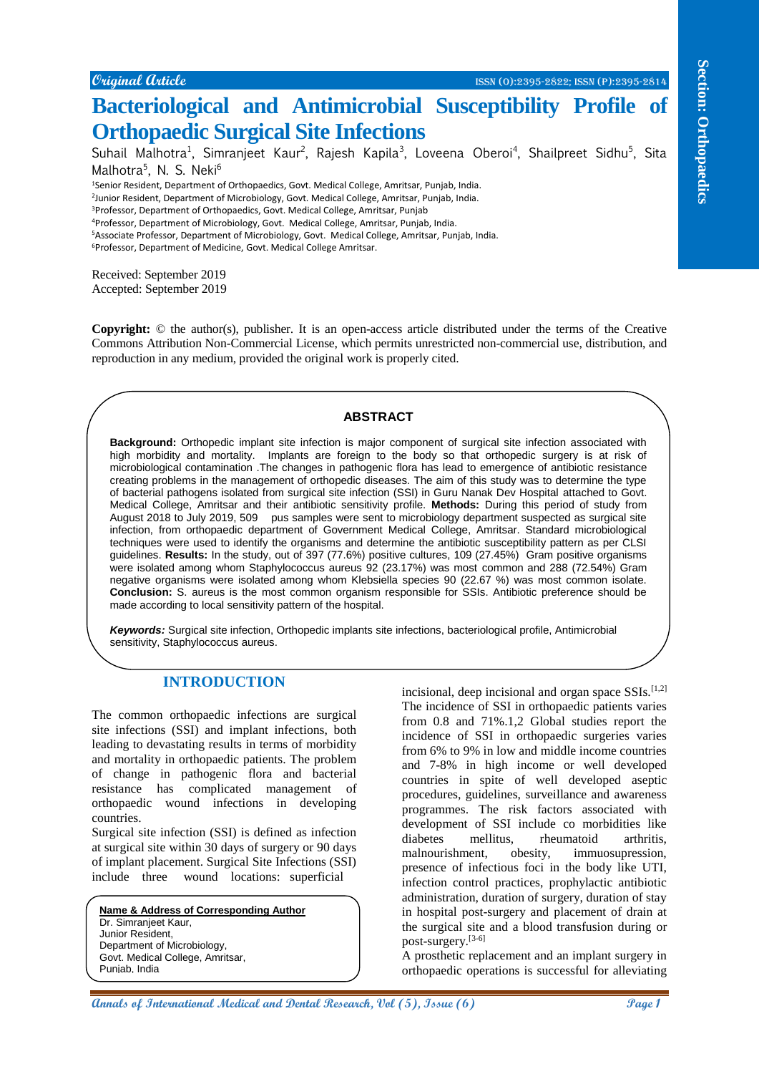**Original Article** ISSN (O):2395-2822; ISSN (P):2395-2814

# **Bacteriological and Antimicrobial Susceptibility Profile of Orthopaedic Surgical Site Infections**

Suhail Malhotra<sup>1</sup>, Simranjeet Kaur<sup>2</sup>, Rajesh Kapila<sup>3</sup>, Loveena Oberoi<sup>4</sup>, Shailpreet Sidhu<sup>5</sup>, Sita Malhotra<sup>5</sup>, N. S. Neki<sup>6</sup>

<sup>1</sup>Senior Resident, Department of Orthopaedics, Govt. Medical College, Amritsar, Punjab, India.

<sup>2</sup>Junior Resident, Department of Microbiology, Govt. Medical College, Amritsar, Punjab, India.

<sup>3</sup>Professor, Department of Orthopaedics, Govt. Medical College, Amritsar, Punjab

<sup>4</sup>Professor, Department of Microbiology, Govt. Medical College, Amritsar, Punjab, India.

<sup>5</sup>Associate Professor, Department of Microbiology, Govt. Medical College, Amritsar, Punjab, India.

<sup>6</sup>Professor, Department of Medicine, Govt. Medical College Amritsar.

Received: September 2019 Accepted: September 2019

**Copyright:** © the author(s), publisher. It is an open-access article distributed under the terms of the Creative Commons Attribution Non-Commercial License, which permits unrestricted non-commercial use, distribution, and reproduction in any medium, provided the original work is properly cited.

#### **ABSTRACT**

**Content denter and the exceptional and Antimicrobial Successive assessments of the exceptional Medical Street in Research (Section 2), Issue (6), Issue (6), Issue (6), Issue (6), Issue (6), Issue (6), Issue (6), Issue (6) Background:** Orthopedic implant site infection is major component of surgical site infection associated with high morbidity and mortality. Implants are foreign to the body so that orthopedic surgery is at risk of microbiological contamination .The changes in pathogenic flora has lead to emergence of antibiotic resistance creating problems in the management of orthopedic diseases. The aim of this study was to determine the type of bacterial pathogens isolated from surgical site infection (SSI) in Guru Nanak Dev Hospital attached to Govt. Medical College, Amritsar and their antibiotic sensitivity profile. **Methods:** During this period of study from August 2018 to July 2019, 509 pus samples were sent to microbiology department suspected as surgical site infection, from orthopaedic department of Government Medical College, Amritsar. Standard microbiological techniques were used to identify the organisms and determine the antibiotic susceptibility pattern as per CLSI guidelines. **Results:** In the study, out of 397 (77.6%) positive cultures, 109 (27.45%) Gram positive organisms were isolated among whom Staphylococcus aureus 92 (23.17%) was most common and 288 (72.54%) Gram negative organisms were isolated among whom Klebsiella species 90 (22.67 %) was most common isolate. **Conclusion:** S. aureus is the most common organism responsible for SSIs. Antibiotic preference should be made according to local sensitivity pattern of the hospital.

*Keywords:* Surgical site infection, Orthopedic implants site infections, bacteriological profile, Antimicrobial sensitivity, Staphylococcus aureus.

### **INTRODUCTION**

The common orthopaedic infections are surgical site infections (SSI) and implant infections, both leading to devastating results in terms of morbidity and mortality in orthopaedic patients. The problem of change in pathogenic flora and bacterial resistance has complicated management of orthopaedic wound infections in developing countries.

Surgical site infection (SSI) is defined as infection at surgical site within 30 days of surgery or 90 days of implant placement. Surgical Site Infections (SSI) include three wound locations: superficial

**Name & Address of Corresponding Author** Dr. Simranjeet Kaur, Junior Resident, Department of Microbiology, Govt. Medical College, Amritsar, Punjab, India

incisional, deep incisional and organ space  $SSIs$ <sup>[1,2]</sup> The incidence of SSI in orthopaedic patients varies from 0.8 and 71%.1,2 Global studies report the incidence of SSI in orthopaedic surgeries varies from 6% to 9% in low and middle income countries and 7-8% in high income or well developed countries in spite of well developed aseptic procedures, guidelines, surveillance and awareness programmes. The risk factors associated with development of SSI include co morbidities like diabetes mellitus, rheumatoid arthritis, malnourishment, obesity, immuosupression, presence of infectious foci in the body like UTI, infection control practices, prophylactic antibiotic administration, duration of surgery, duration of stay in hospital post-surgery and placement of drain at the surgical site and a blood transfusion during or post-surgery.[3-6]

A prosthetic replacement and an implant surgery in orthopaedic operations is successful for alleviating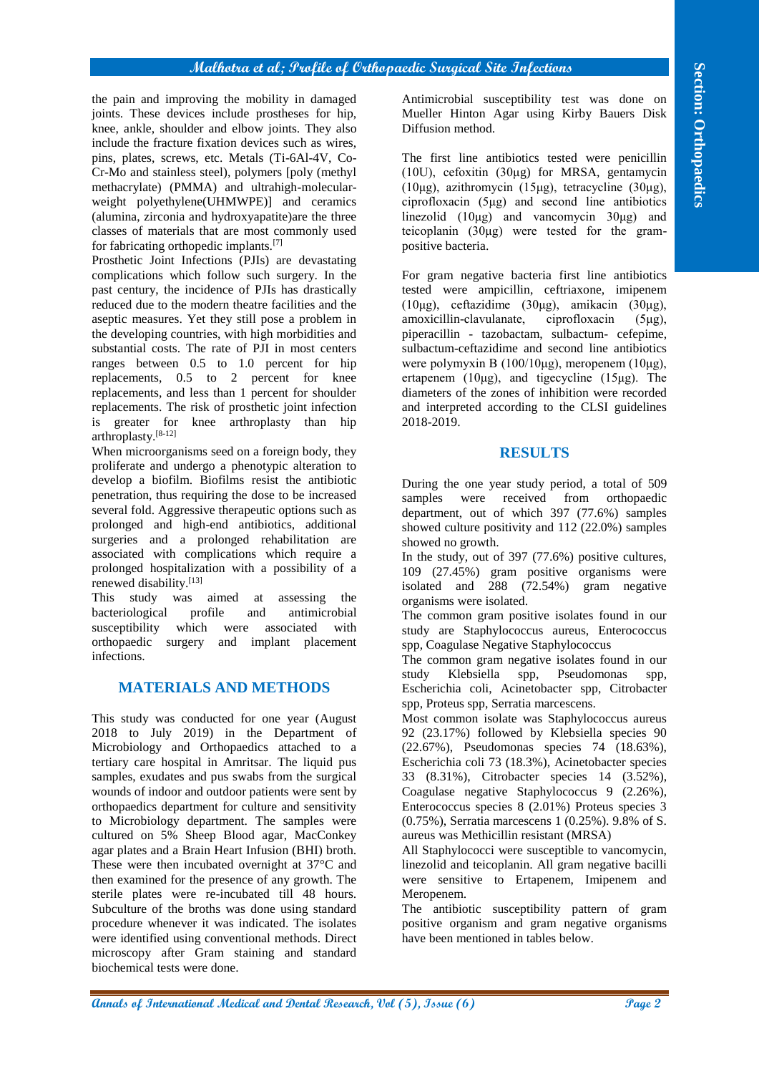the pain and improving the mobility in damaged joints. These devices include prostheses for hip, knee, ankle, shoulder and elbow joints. They also include the fracture fixation devices such as wires, pins, plates, screws, etc. Metals (Ti-6Al-4V, Co-Cr-Mo and stainless steel), polymers [poly (methyl methacrylate) (PMMA) and ultrahigh-molecularweight polyethylene(UHMWPE)] and ceramics (alumina, zirconia and hydroxyapatite)are the three classes of materials that are most commonly used for fabricating orthopedic implants.[7]

Prosthetic Joint Infections (PJIs) are devastating complications which follow such surgery. In the past century, the incidence of PJIs has drastically reduced due to the modern theatre facilities and the aseptic measures. Yet they still pose a problem in the developing countries, with high morbidities and substantial costs. The rate of PJI in most centers ranges between 0.5 to 1.0 percent for hip replacements, 0.5 to 2 percent for knee replacements, and less than 1 percent for shoulder replacements. The risk of prosthetic joint infection is greater for knee arthroplasty than hip  $arthroplastv.$ <sup>[8-12]</sup>

When microorganisms seed on a foreign body, they proliferate and undergo a phenotypic alteration to develop a biofilm. Biofilms resist the antibiotic penetration, thus requiring the dose to be increased several fold. Aggressive therapeutic options such as prolonged and high-end antibiotics, additional surgeries and a prolonged rehabilitation are associated with complications which require a prolonged hospitalization with a possibility of a renewed disability.[13]

This study was aimed at assessing the bacteriological profile and antimicrobial susceptibility which were associated with orthopaedic surgery and implant placement infections.

### **MATERIALS AND METHODS**

**An analyzing the continuum of International Section (1), Islamin (1), Islamin (1), Islamin (1), Islamin (1), Islamin (1), Islamin (1), Islamin (1), Islamin (1), Islamin (1), Islamin (1), Islamin (1), Islamin (1), Islamin** This study was conducted for one year (August 2018 to July 2019) in the Department of Microbiology and Orthopaedics attached to a tertiary care hospital in Amritsar. The liquid pus samples, exudates and pus swabs from the surgical wounds of indoor and outdoor patients were sent by orthopaedics department for culture and sensitivity to Microbiology department. The samples were cultured on 5% Sheep Blood agar, MacConkey agar plates and a Brain Heart Infusion (BHI) broth. These were then incubated overnight at 37°C and then examined for the presence of any growth. The sterile plates were re-incubated till 48 hours. Subculture of the broths was done using standard procedure whenever it was indicated. The isolates were identified using conventional methods. Direct microscopy after Gram staining and standard biochemical tests were done.

Antimicrobial susceptibility test was done on Mueller Hinton Agar using Kirby Bauers Disk Diffusion method.

The first line antibiotics tested were penicillin (10U), cefoxitin (30μg) for MRSA, gentamycin (10μg), azithromycin (15μg), tetracycline (30μg), ciprofloxacin (5μg) and second line antibiotics linezolid (10μg) and vancomycin 30μg) and teicoplanin  $(30\mu$ g) were tested for the grampositive bacteria.

For gram negative bacteria first line antibiotics tested were ampicillin, ceftriaxone, imipenem (10μg), ceftazidime (30μg), amikacin (30μg), amoxicillin-clavulanate, ciprofloxacin (5μg), piperacillin - tazobactam, sulbactum- cefepime, sulbactum-ceftazidime and second line antibiotics were polymyxin B (100/10μg), meropenem (10μg), ertapenem (10μg), and tigecycline (15μg). The diameters of the zones of inhibition were recorded and interpreted according to the CLSI guidelines 2018-2019.

#### **RESULTS**

During the one year study period, a total of 509 samples were received from orthopaedic department, out of which 397 (77.6%) samples showed culture positivity and 112 (22.0%) samples showed no growth.

In the study, out of 397 (77.6%) positive cultures, 109 (27.45%) gram positive organisms were isolated and  $\overline{288}$  (72.54%) gram negative organisms were isolated.

The common gram positive isolates found in our study are Staphylococcus aureus, Enterococcus spp, Coagulase Negative Staphylococcus

The common gram negative isolates found in our study Klebsiella spp, Pseudomonas spp, Escherichia coli, Acinetobacter spp, Citrobacter spp, Proteus spp, Serratia marcescens.

Most common isolate was Staphylococcus aureus 92 (23.17%) followed by Klebsiella species 90 (22.67%), Pseudomonas species 74 (18.63%), Escherichia coli 73 (18.3%), Acinetobacter species 33 (8.31%), Citrobacter species 14 (3.52%), Coagulase negative Staphylococcus 9 (2.26%), Enterococcus species 8 (2.01%) Proteus species 3 (0.75%), Serratia marcescens 1 (0.25%). 9.8% of S. aureus was Methicillin resistant (MRSA)

All Staphylococci were susceptible to vancomycin, linezolid and teicoplanin. All gram negative bacilli were sensitive to Ertapenem, Imipenem and Meropenem.

The antibiotic susceptibility pattern of gram positive organism and gram negative organisms have been mentioned in tables below.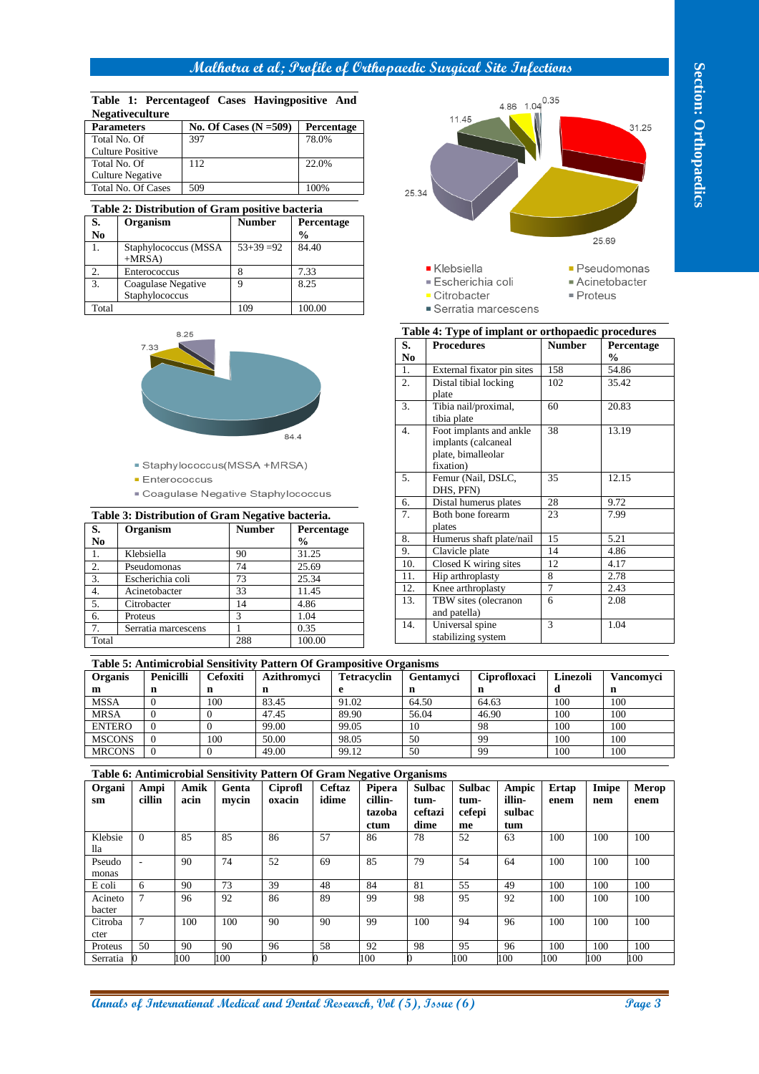#### **Table 1: Percentageof Cases Havingpositive And Negativeculture**

| <b>Parameters</b>         | No. Of Cases $(N = 509)$ | <b>Percentage</b> |
|---------------------------|--------------------------|-------------------|
| Total No. Of              | 397                      | 78.0%             |
| Culture Positive          |                          |                   |
| Total No. Of              | 112                      | 22.0%             |
| Culture Negative          |                          |                   |
| <b>Total No. Of Cases</b> | 509                      | 100%              |

#### **Table 2: Distribution of Gram positive bacteria**

| S.    | Organism             | <b>Number</b> | Percentage    |  |  |  |
|-------|----------------------|---------------|---------------|--|--|--|
| No    |                      |               | $\frac{0}{0}$ |  |  |  |
| 1.    | Staphylococcus (MSSA | $53+39=92$    | 84.40         |  |  |  |
|       | $+MRSA$              |               |               |  |  |  |
| 2.    | Enterococcus         |               | 7.33          |  |  |  |
| 3.    | Coagulase Negative   | q             | 8.25          |  |  |  |
|       | Staphylococcus       |               |               |  |  |  |
| Total |                      | $\Omega$      | 100.00        |  |  |  |



- 
- 
- 

|                  | Table 3: Distribution of Gram Negative bacteria. |               |               |
|------------------|--------------------------------------------------|---------------|---------------|
| <b>S.</b>        | Organism                                         | <b>Number</b> | Percentage    |
| N <sub>0</sub>   |                                                  |               | $\frac{0}{0}$ |
| 1.               | Klebsiella                                       | 90            | 31.25         |
| 2.               | Pseudomonas                                      | 74            | 25.69         |
| 3.               | Escherichia coli                                 | 73            | 25.34         |
| $\overline{4}$ . | Acinetobacter                                    | 33            | 11.45         |
| $\overline{5}$ . | Citrobacter                                      | 14            | 4.86          |
| 6.               | Proteus                                          | 3             | 1.04          |
| 7 <sup>1</sup>   | Serratia marcescens                              |               | 0.35          |
| Total            |                                                  | 288           | 100.00        |



- 
- 
- -
- 
- 

| ■ Acinetobacter        |
|------------------------|
| $\blacksquare$ Proteus |
|                        |

|                  | Table 4: Type of implant or orthopaedic procedures |                |               |
|------------------|----------------------------------------------------|----------------|---------------|
| S.               | <b>Procedures</b>                                  | <b>Number</b>  | Percentage    |
| N <sub>0</sub>   |                                                    |                | $\frac{0}{0}$ |
| 1.               | External fixator pin sites                         | 158            | 54.86         |
| $\overline{2}$ . | Distal tibial locking                              | 102            | 35.42         |
|                  | plate                                              |                |               |
| 3.               | Tibia nail/proximal,                               | 60             | 20.83         |
|                  | tibia plate                                        |                |               |
| $\overline{4}$ . | Foot implants and ankle                            | 38             | 13.19         |
|                  | implants (calcaneal                                |                |               |
|                  | plate, bimalleolar                                 |                |               |
|                  | fixation)                                          |                |               |
| 5.               | Femur (Nail, DSLC,                                 | 35             | 12.15         |
|                  | DHS, PFN)                                          |                |               |
| 6.               | Distal humerus plates                              | 28             | 9.72          |
| 7.               | Both bone forearm                                  | 23             | 7.99          |
|                  | plates                                             |                |               |
| 8.               | Humerus shaft plate/nail                           | 15             | 5.21          |
| 9.               | Clavicle plate                                     | 14             | 4.86          |
| 10.              | Closed K wiring sites                              | 12             | 4.17          |
| 11.              | Hip arthroplasty                                   | 8              | 2.78          |
| 12.              | Knee arthroplasty                                  | $\overline{7}$ | 2.43          |
| 13.              | TBW sites (olecranon                               | 6              | 2.08          |
|                  | and patella)                                       |                |               |
| 14.              | Universal spine                                    | 3              | 1.04          |
|                  | stabilizing system                                 |                |               |
|                  |                                                    |                |               |

|                |                  |                 | Table 5: Antimicrobial Sensitivity Pattern Of Grampositive Organisms |                    |                  |              |          |                  |
|----------------|------------------|-----------------|----------------------------------------------------------------------|--------------------|------------------|--------------|----------|------------------|
| <b>Organis</b> | <b>Penicilli</b> | <b>Cefoxiti</b> | Azithromyci                                                          | <b>Tetracyclin</b> | <b>Gentamyci</b> | Ciprofloxaci | Linezoli | <b>Vancomyci</b> |
| m              | n                |                 |                                                                      |                    |                  |              |          | n                |
| <b>MSSA</b>    |                  | 100             | 83.45                                                                | 91.02              | 64.50            | 64.63        | 100      | 100              |
| <b>MRSA</b>    |                  |                 | 47.45                                                                | 89.90              | 56.04            | 46.90        | 100      | 100              |
| <b>ENTERO</b>  |                  |                 | 99.00                                                                | 99.05              | 10               | 98           | 100      | 100              |
| <b>MSCONS</b>  |                  | 100             | 50.00                                                                | 98.05              | 50               | 99           | 100      | 100              |
| <b>MRCONS</b>  |                  |                 | 49.00                                                                | 99.12              | 50               | -99          | 100      | 100              |

|                                                              |                                                          | Negativeculture                      |                         |                                    |                      | Table 1: Percentageof Cases Havingpositive And  |                                                  |                |               |                                                                       |                                                     |                                  | 11.45                                      |                          | 4.86 1.04 0.35            |                                                    |                 |               |                      |  |     |
|--------------------------------------------------------------|----------------------------------------------------------|--------------------------------------|-------------------------|------------------------------------|----------------------|-------------------------------------------------|--------------------------------------------------|----------------|---------------|-----------------------------------------------------------------------|-----------------------------------------------------|----------------------------------|--------------------------------------------|--------------------------|---------------------------|----------------------------------------------------|-----------------|---------------|----------------------|--|-----|
| <b>Parameters</b><br>Total No. Of<br><b>Culture Positive</b> |                                                          |                                      | 397                     |                                    |                      | No. Of Cases $(N = 509)$                        |                                                  | 78.0%          | Percentage    |                                                                       |                                                     |                                  |                                            |                          |                           |                                                    |                 |               | 31.25                |  |     |
|                                                              | Total No. Of<br>112<br>22.0%<br><b>Culture Negative</b>  |                                      |                         |                                    |                      |                                                 |                                                  |                |               |                                                                       |                                                     |                                  |                                            |                          |                           |                                                    |                 |               |                      |  |     |
|                                                              |                                                          | Total No. Of Cases                   | 509                     |                                    |                      |                                                 |                                                  | 100%           |               |                                                                       | 25.34                                               |                                  |                                            |                          |                           |                                                    |                 |               |                      |  |     |
|                                                              |                                                          |                                      |                         |                                    |                      | Table 2: Distribution of Gram positive bacteria |                                                  |                |               |                                                                       |                                                     |                                  |                                            |                          |                           |                                                    |                 |               |                      |  |     |
| $\overline{\mathbf{S}}$ .                                    |                                                          | Organism                             |                         |                                    | <b>Number</b>        |                                                 |                                                  | Percentage     |               |                                                                       |                                                     |                                  |                                            |                          |                           |                                                    |                 |               |                      |  |     |
| No<br>1.                                                     |                                                          | Staphylococcus (MSSA<br>$+MRSA$ )    |                         |                                    |                      | $53+39=92$                                      | $\%$<br>84.40                                    |                |               |                                                                       |                                                     |                                  |                                            |                          |                           |                                                    |                 | 25.69         |                      |  |     |
| 2.                                                           |                                                          | Enterococcus                         |                         |                                    | 8                    |                                                 | 7.33                                             |                |               |                                                                       | ■ Klebsiella<br>• Pseudomonas<br>■ Escherichia coli |                                  |                                            |                          |                           |                                                    |                 |               |                      |  |     |
| 9<br>Coagulase Negative<br>3.<br>Staphylococcus              |                                                          |                                      |                         |                                    |                      | 8.25                                            |                                                  |                |               |                                                                       |                                                     | • Citrobacter                    |                                            |                          |                           | ■ Proteus                                          | ■ Acinetobacter |               |                      |  |     |
| Total                                                        |                                                          |                                      |                         |                                    | 109                  |                                                 | 100.00                                           |                |               |                                                                       |                                                     |                                  |                                            |                          | ■ Serratia marcescens     |                                                    |                 |               |                      |  |     |
|                                                              |                                                          |                                      |                         |                                    |                      |                                                 |                                                  |                |               |                                                                       |                                                     |                                  |                                            |                          |                           | Table 4: Type of implant or orthopaedic procedures |                 |               |                      |  |     |
|                                                              |                                                          | 7.33                                 | 8.25                    |                                    |                      |                                                 |                                                  |                |               |                                                                       | S.<br>No                                            |                                  | <b>Procedures</b>                          |                          |                           | <b>Number</b>                                      |                 | $\frac{0}{0}$ | Percentage           |  |     |
|                                                              |                                                          |                                      |                         |                                    |                      |                                                 |                                                  |                |               |                                                                       | 1.                                                  |                                  | External fixator pin sites                 |                          |                           | 158                                                |                 | 54.86         |                      |  |     |
|                                                              |                                                          |                                      |                         |                                    |                      |                                                 |                                                  |                |               |                                                                       | $\overline{2}$ .                                    | plate                            | Distal tibial locking                      |                          |                           | 102                                                |                 | 35.42         |                      |  |     |
|                                                              |                                                          |                                      |                         |                                    |                      |                                                 |                                                  |                |               |                                                                       | 3.                                                  |                                  | Tibia nail/proximal,                       |                          |                           | 60                                                 |                 | 20.83         |                      |  |     |
|                                                              |                                                          |                                      |                         |                                    |                      |                                                 |                                                  |                |               |                                                                       | 4.                                                  |                                  | tibia plate<br>Foot implants and ankle     |                          |                           | $\overline{38}$                                    |                 | 13.19         |                      |  |     |
|                                                              |                                                          |                                      |                         |                                    |                      |                                                 | 84.4                                             |                |               |                                                                       |                                                     |                                  | implants (calcaneal<br>plate, bimalleolar  |                          |                           |                                                    |                 |               |                      |  |     |
|                                                              |                                                          |                                      |                         |                                    |                      | ■ Staphylococcus(MSSA +MRSA)                    |                                                  |                |               |                                                                       | 5.                                                  | fixation)                        | Femur (Nail, DSLC,                         |                          |                           | 35                                                 |                 | 12.15         |                      |  |     |
|                                                              | <b>Enterococcus</b><br>Coagulase Negative Staphylococcus |                                      |                         |                                    |                      |                                                 |                                                  |                |               |                                                                       |                                                     | DHS, PFN)                        |                                            |                          |                           |                                                    |                 |               |                      |  |     |
|                                                              |                                                          |                                      |                         |                                    |                      |                                                 | Table 3: Distribution of Gram Negative bacteria. |                |               |                                                                       | 6.<br>7.                                            |                                  | Distal humerus plates<br>Both bone forearm |                          |                           | $28\,$<br>23                                       | 7.99            |               | 9.72                 |  |     |
| S.                                                           |                                                          | Organism                             |                         |                                    | <b>Number</b>        |                                                 |                                                  | Percentage     |               |                                                                       |                                                     | plates                           |                                            |                          |                           |                                                    |                 |               |                      |  |     |
| $\mathbf{No}$                                                |                                                          |                                      |                         |                                    |                      |                                                 | $\%$                                             |                |               |                                                                       | 8.<br>9.                                            |                                  |                                            | Humerus shaft plate/nail |                           | 15<br>$\overline{14}$                              | 5.21<br>4.86    |               |                      |  |     |
| 1.                                                           |                                                          | Klebsiella<br>Pseudomonas            |                         |                                    | 90<br>74             |                                                 | 31.25<br>25.69                                   |                |               |                                                                       | 10.                                                 |                                  | Clavicle plate<br>Closed K wiring sites    |                          |                           | 12                                                 | 4.17            |               |                      |  |     |
|                                                              |                                                          | Escherichia coli                     |                         |                                    | 73                   |                                                 | 25.34                                            |                |               |                                                                       | 11.                                                 |                                  | Hip arthroplasty                           |                          |                           | 8<br>$\overline{7}$                                |                 | 2.78          |                      |  |     |
|                                                              |                                                          | Acinetobacter                        |                         |                                    | 33                   |                                                 | 11.45                                            |                |               |                                                                       | 12.<br>13.                                          |                                  | Knee arthroplasty<br>TBW sites (olecranon  |                          |                           | 2.43<br>6<br>2.08                                  |                 |               |                      |  |     |
|                                                              | Proteus                                                  | Citrobacter                          |                         |                                    | 14<br>$\mathfrak{Z}$ |                                                 | 4.86<br>1.04                                     |                |               |                                                                       |                                                     |                                  | and patella)                               |                          |                           |                                                    |                 |               |                      |  |     |
|                                                              |                                                          | Serratia marcescens                  |                         |                                    | $\mathbf{1}$         |                                                 | 0.35                                             |                |               |                                                                       | 14.                                                 |                                  | Universal spine<br>stabilizing system      |                          |                           | 3                                                  |                 | 1.04          |                      |  |     |
| Total                                                        |                                                          |                                      |                         |                                    | 288                  |                                                 | 100.00                                           |                |               |                                                                       |                                                     |                                  |                                            |                          |                           |                                                    |                 |               |                      |  |     |
|                                                              |                                                          |                                      |                         |                                    |                      |                                                 |                                                  |                |               | Table 5: Antimicrobial Sensitivity Pattern Of Grampositive Organisms  |                                                     |                                  |                                            |                          |                           |                                                    |                 |               |                      |  |     |
| Organis<br>$\mathbf m$                                       |                                                          | Penicilli<br>n                       | Cefoxiti<br>n<br>n<br>e |                                    |                      |                                                 | Azithromyci<br><b>Tetracyclin</b>                |                |               |                                                                       | n                                                   | Gentamyci                        | $\mathbf n$                                |                          | Ciprofloxaci              | Linezoli<br>d                                      |                 | $\bf n$       | Vancomyci            |  |     |
| <b>MSSA</b>                                                  |                                                          | $\overline{0}$                       |                         | 100                                |                      | 83.45                                           |                                                  |                | 91.02         |                                                                       | 64.50                                               |                                  |                                            | 64.63                    |                           | 100                                                |                 | 100           |                      |  |     |
| <b>MRSA</b><br><b>ENTERO</b>                                 |                                                          | $\boldsymbol{0}$<br>$\boldsymbol{0}$ |                         | $\boldsymbol{0}$<br>$\overline{0}$ |                      | 47.45<br>99.00                                  |                                                  | 89.90<br>99.05 |               | 56.04<br>10                                                           |                                                     | 98                               | 46.90                                      |                          | 100<br>100                |                                                    | 100<br>100      |               |                      |  |     |
| <b>MSCONS</b>                                                |                                                          | $\boldsymbol{0}$                     |                         | 100                                |                      | 50.00                                           |                                                  |                | 98.05         |                                                                       | 50                                                  | 99                               |                                            |                          |                           | 100                                                |                 | 100           |                      |  |     |
|                                                              | <b>MRCONS</b>                                            | $\overline{0}$                       |                         | $\mathbf{0}$                       |                      | 49.00                                           |                                                  |                | 99.12         |                                                                       | 50                                                  |                                  | 99                                         |                          |                           | 100                                                |                 | 100           |                      |  |     |
|                                                              |                                                          |                                      |                         |                                    |                      |                                                 |                                                  |                |               | Table 6: Antimicrobial Sensitivity Pattern Of Gram Negative Organisms |                                                     |                                  |                                            |                          |                           |                                                    |                 |               |                      |  |     |
| Organi<br>sm                                                 |                                                          | Ampi<br>cillin                       | Amik<br>acin            |                                    | Genta<br>mycin       | <b>Ciprofl</b><br>oxacin                        |                                                  | idime          | <b>Ceftaz</b> | Pipera<br>cillin-<br>tazoba                                           |                                                     | <b>Sulbac</b><br>tum-<br>ceftazi | <b>Sulbac</b><br>tum-<br>cefepi            |                          | Ampic<br>illin-<br>sulbac | <b>Ertap</b><br>enem                               |                 | Imipe<br>nem  | <b>Merop</b><br>enem |  |     |
| Klebsie                                                      |                                                          | $\overline{0}$                       | $\overline{85}$         | 85                                 |                      | 86                                              |                                                  | 57             |               |                                                                       |                                                     | ctum<br>86                       | 78                                         | dime                     | me<br>52                  |                                                    | tum<br>63       | 100           | 100                  |  | 100 |
| lla<br>Pseudo<br>monas                                       | $\overline{\phantom{a}}$                                 |                                      | 90                      | 74                                 |                      | 52                                              |                                                  | 69             |               | 85                                                                    | 79                                                  |                                  | 54                                         |                          | 64                        | 100                                                | 100             |               | 100                  |  |     |
| E coli<br>Acineto                                            |                                                          | 6<br>$\tau$                          | 90<br>96                | 73<br>92                           |                      | 39<br>86                                        |                                                  | 48<br>89       |               | 84<br>99                                                              | 81<br>98                                            |                                  | $\overline{55}$<br>95                      |                          | 49<br>92                  | 100<br>100                                         | 100<br>100      |               | 100<br>100           |  |     |
| bacter<br>Citroba                                            |                                                          | $\tau$                               | 100                     | 100                                |                      | 90                                              |                                                  | 90             |               | 99                                                                    | 100                                                 |                                  | 94                                         |                          | 96                        | 100                                                | 100             |               | 100                  |  |     |
| cter<br>Proteus                                              |                                                          | 50                                   | 90                      | 90                                 |                      | 96                                              |                                                  | 58             |               | 92                                                                    | 98                                                  |                                  | 95                                         |                          | 96                        | 100                                                | 100             |               | 100                  |  |     |
| Serratia                                                     |                                                          |                                      | 100                     | 100                                |                      | 0                                               |                                                  | 0              |               | 100                                                                   | D                                                   |                                  | 100                                        |                          | 100                       | 100                                                | 100             |               | 100                  |  |     |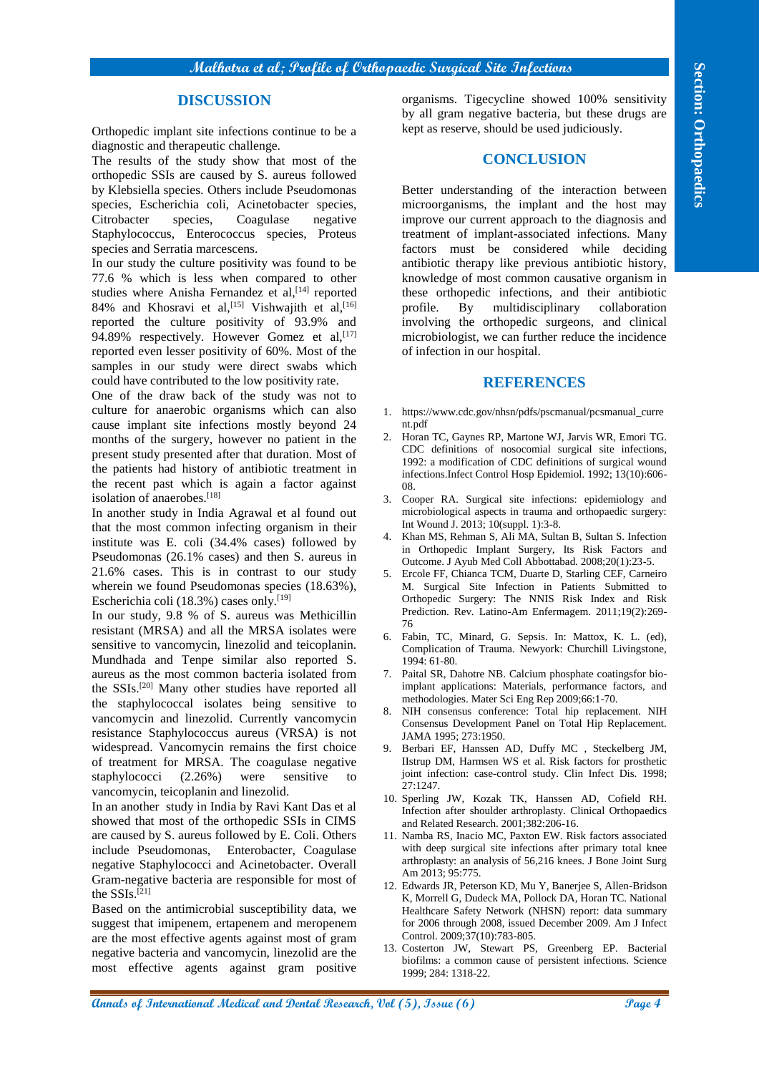#### **DISCUSSION**

Orthopedic implant site infections continue to be a diagnostic and therapeutic challenge.

The results of the study show that most of the orthopedic SSIs are caused by S. aureus followed by Klebsiella species. Others include Pseudomonas species, Escherichia coli, Acinetobacter species, Citrobacter species, Coagulase negative Staphylococcus, Enterococcus species, Proteus species and Serratia marcescens.

In our study the culture positivity was found to be 77.6 % which is less when compared to other studies where Anisha Fernandez et al,<sup>[14]</sup> reported 84% and Khosravi et al,<sup>[15]</sup> Vishwajith et al,<sup>[16]</sup> reported the culture positivity of 93.9% and 94.89% respectively. However Gomez et al, [17] reported even lesser positivity of 60%. Most of the samples in our study were direct swabs which could have contributed to the low positivity rate.

One of the draw back of the study was not to culture for anaerobic organisms which can also cause implant site infections mostly beyond 24 months of the surgery, however no patient in the present study presented after that duration. Most of the patients had history of antibiotic treatment in the recent past which is again a factor against isolation of anaerobes.[18]

In another study in India Agrawal et al found out that the most common infecting organism in their institute was E. coli (34.4% cases) followed by Pseudomonas (26.1% cases) and then S. aureus in 21.6% cases. This is in contrast to our study wherein we found Pseudomonas species (18.63%), Escherichia coli (18.3%) cases only.[19]

**All gives a constrained State of Constrained State (State of Dental Research)**<br> **Andre Construction Constrained State of Dental Research (State of Dental Research)**<br> **DENTAL SECTION CONSTRAINATION CONSTRAINATION CONSTRAI** In our study, 9.8 % of S. aureus was Methicillin resistant (MRSA) and all the MRSA isolates were sensitive to vancomycin, linezolid and teicoplanin. Mundhada and Tenpe similar also reported S. aureus as the most common bacteria isolated from the SSIs.[20] Many other studies have reported all the staphylococcal isolates being sensitive to vancomycin and linezolid. Currently vancomycin resistance Staphylococcus aureus (VRSA) is not widespread. Vancomycin remains the first choice of treatment for MRSA. The coagulase negative staphylococci  $(2.26\%)$  were sensitive vancomycin, teicoplanin and linezolid.

In an another study in India by Ravi Kant Das et al showed that most of the orthopedic SSIs in CIMS are caused by S. aureus followed by E. Coli. Others include Pseudomonas, Enterobacter, Coagulase negative Staphylococci and Acinetobacter. Overall Gram-negative bacteria are responsible for most of the SSIs.<sup>[21]</sup>

Based on the antimicrobial susceptibility data, we suggest that imipenem, ertapenem and meropenem are the most effective agents against most of gram negative bacteria and vancomycin, linezolid are the most effective agents against gram positive

organisms. Tigecycline showed 100% sensitivity by all gram negative bacteria, but these drugs are kept as reserve, should be used judiciously.

#### **CONCLUSION**

Better understanding of the interaction between microorganisms, the implant and the host may improve our current approach to the diagnosis and treatment of implant-associated infections. Many factors must be considered while deciding antibiotic therapy like previous antibiotic history, knowledge of most common causative organism in these orthopedic infections, and their antibiotic profile. By multidisciplinary collaboration involving the orthopedic surgeons, and clinical microbiologist, we can further reduce the incidence of infection in our hospital.

#### **REFERENCES**

- 1. https://www.cdc.gov/nhsn/pdfs/pscmanual/pcsmanual\_curre nt.pdf
- 2. Horan TC, Gaynes RP, Martone WJ, Jarvis WR, Emori TG. CDC definitions of nosocomial surgical site infections, 1992: a modification of CDC definitions of surgical wound infections.Infect Control Hosp Epidemiol. 1992; 13(10):606- 08.
- 3. Cooper RA. Surgical site infections: epidemiology and microbiological aspects in trauma and orthopaedic surgery: Int Wound J. 2013; 10(suppl. 1):3-8.
- 4. Khan MS, Rehman S, Ali MA, Sultan B, Sultan S. Infection in Orthopedic Implant Surgery, Its Risk Factors and Outcome. J Ayub Med Coll Abbottabad. 2008;20(1):23-5.
- 5. Ercole FF, Chianca TCM, Duarte D, Starling CEF, Carneiro M. Surgical Site Infection in Patients Submitted to Orthopedic Surgery: The NNIS Risk Index and Risk Prediction. Rev. Latino-Am Enfermagem. 2011;19(2):269- 76
- 6. Fabin, TC, Minard, G. Sepsis. In: Mattox, K. L. (ed), Complication of Trauma. Newyork: Churchill Livingstone, 1994: 61-80.
- 7. Paital SR, Dahotre NB. Calcium phosphate coatingsfor bioimplant applications: Materials, performance factors, and methodologies. Mater Sci Eng Rep 2009;66:1-70.
- 8. NIH consensus conference: Total hip replacement. NIH Consensus Development Panel on Total Hip Replacement. JAMA 1995; 273:1950.
- 9. Berbari EF, Hanssen AD, Duffy MC , Steckelberg JM, IIstrup DM, Harmsen WS et al. Risk factors for prosthetic joint infection: case-control study. Clin Infect Dis. 1998; 27:1247.
- 10. Sperling JW, Kozak TK, Hanssen AD, Cofield RH. Infection after shoulder arthroplasty. Clinical Orthopaedics and Related Research. 2001;382:206-16.
- 11. Namba RS, Inacio MC, Paxton EW. Risk factors associated with deep surgical site infections after primary total knee arthroplasty: an analysis of 56,216 knees. J Bone Joint Surg Am 2013; 95:775.
- 12. Edwards JR, Peterson KD, Mu Y, Banerjee S, Allen-Bridson K, Morrell G, Dudeck MA, Pollock DA, Horan TC. National Healthcare Safety Network (NHSN) report: data summary for 2006 through 2008, issued December 2009. Am J Infect Control. 2009;37(10):783-805.
- 13. Costerton JW, Stewart PS, Greenberg EP. Bacterial biofilms: a common cause of persistent infections. Science 1999; 284: 1318-22.